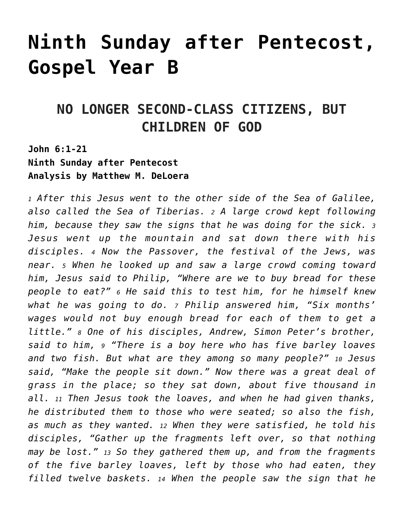# **[Ninth Sunday after Pentecost,](https://crossings.org/text-study/9th-sunday-after-pentecost-gospel-year-b/) [Gospel Year B](https://crossings.org/text-study/9th-sunday-after-pentecost-gospel-year-b/)**

## **NO LONGER SECOND-CLASS CITIZENS, BUT CHILDREN OF GOD**

## **John 6:1-21 Ninth Sunday after Pentecost Analysis by Matthew M. DeLoera**

*<sup>1</sup> After this Jesus went to the other side of the Sea of Galilee, also called the Sea of Tiberias. 2 A large crowd kept following him, because they saw the signs that he was doing for the sick. <sup>3</sup> Jesus went up the mountain and sat down there with his disciples. 4 Now the Passover, the festival of the Jews, was near. 5 When he looked up and saw a large crowd coming toward him, Jesus said to Philip, "Where are we to buy bread for these people to eat?" 6 He said this to test him, for he himself knew what he was going to do. 7 Philip answered him, "Six months' wages would not buy enough bread for each of them to get a little." 8 One of his disciples, Andrew, Simon Peter's brother, said to him, 9 "There is a boy here who has five barley loaves and two fish. But what are they among so many people?" 10 Jesus said, "Make the people sit down." Now there was a great deal of grass in the place; so they sat down, about five thousand in all. 11 Then Jesus took the loaves, and when he had given thanks, he distributed them to those who were seated; so also the fish, as much as they wanted. 12 When they were satisfied, he told his disciples, "Gather up the fragments left over, so that nothing may be lost." 13 So they gathered them up, and from the fragments of the five barley loaves, left by those who had eaten, they filled twelve baskets. 14 When the people saw the sign that he*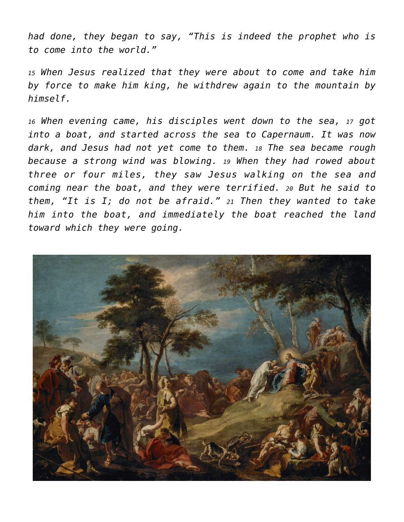*had done, they began to say, "This is indeed the prophet who is to come into the world."*

*<sup>15</sup> When Jesus realized that they were about to come and take him by force to make him king, he withdrew again to the mountain by himself.*

*<sup>16</sup> When evening came, his disciples went down to the sea, 17 got into a boat, and started across the sea to Capernaum. It was now dark, and Jesus had not yet come to them. 18 The sea became rough because a strong wind was blowing. 19 When they had rowed about three or four miles, they saw Jesus walking on the sea and coming near the boat, and they were terrified. 20 But he said to them, "It is I; do not be afraid." 21 Then they wanted to take him into the boat, and immediately the boat reached the land toward which they were going.*

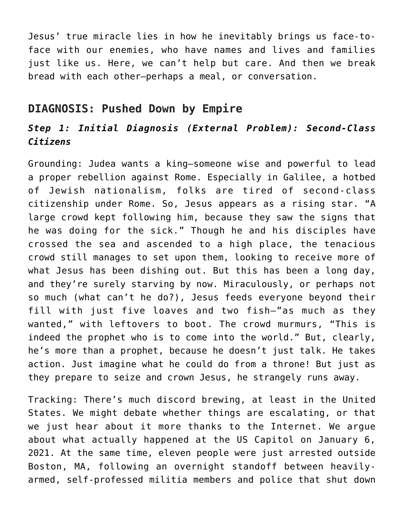Jesus' true miracle lies in how he inevitably brings us face-toface with our enemies, who have names and lives and families just like us. Here, we can't help but care. And then we break bread with each other—perhaps a meal, or conversation.

## **DIAGNOSIS: Pushed Down by Empire**

## *Step 1: Initial Diagnosis (External Problem): Second-Class Citizens*

Grounding: Judea wants a king—someone wise and powerful to lead a proper rebellion against Rome. Especially in Galilee, a hotbed of Jewish nationalism, folks are tired of second-class citizenship under Rome. So, Jesus appears as a rising star. "A large crowd kept following him, because they saw the signs that he was doing for the sick." Though he and his disciples have crossed the sea and ascended to a high place, the tenacious crowd still manages to set upon them, looking to receive more of what Jesus has been dishing out. But this has been a long day, and they're surely starving by now. Miraculously, or perhaps not so much (what can't he do?), Jesus feeds everyone beyond their fill with just five loaves and two fish—"as much as they wanted," with leftovers to boot. The crowd murmurs, "This is indeed the prophet who is to come into the world." But, clearly, he's more than a prophet, because he doesn't just talk. He takes action. Just imagine what he could do from a throne! But just as they prepare to seize and crown Jesus, he strangely runs away.

Tracking: There's much discord brewing, at least in the United States. We might debate whether things are escalating, or that we just hear about it more thanks to the Internet. We argue about what actually happened at the US Capitol on January 6, 2021. At the same time, eleven people were just arrested outside Boston, MA, following an overnight standoff between heavilyarmed, self-professed militia members and police that shut down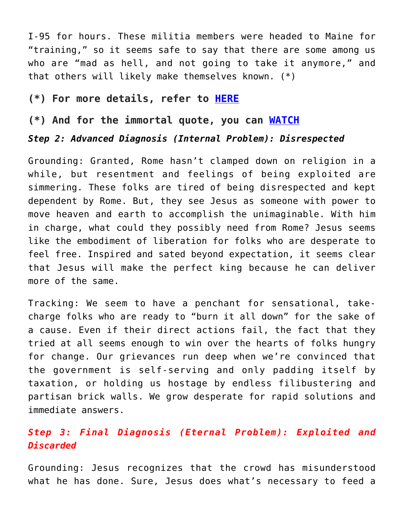I-95 for hours. These militia members were headed to Maine for "training," so it seems safe to say that there are some among us who are "mad as hell, and not going to take it anymore," and that others will likely make themselves known. (\*)

#### **(\*) For more details, refer to [HERE](https://www.bostonherald.com/2021/07/03/police-searching-for-heavily-armed-men-who-do-not-recognize-our-laws-in-wakefield/)**

#### **(\*) And for the immortal quote, you can [WATCH](https://www.youtube.com/watch?v=ZwMVMbmQBug)**

#### *Step 2: Advanced Diagnosis (Internal Problem): Disrespected*

Grounding: Granted, Rome hasn't clamped down on religion in a while, but resentment and feelings of being exploited are simmering. These folks are tired of being disrespected and kept dependent by Rome. But, they see Jesus as someone with power to move heaven and earth to accomplish the unimaginable. With him in charge, what could they possibly need from Rome? Jesus seems like the embodiment of liberation for folks who are desperate to feel free. Inspired and sated beyond expectation, it seems clear that Jesus will make the perfect king because he can deliver more of the same.

Tracking: We seem to have a penchant for sensational, takecharge folks who are ready to "burn it all down" for the sake of a cause. Even if their direct actions fail, the fact that they tried at all seems enough to win over the hearts of folks hungry for change. Our grievances run deep when we're convinced that the government is self-serving and only padding itself by taxation, or holding us hostage by endless filibustering and partisan brick walls. We grow desperate for rapid solutions and immediate answers.

## *Step 3: Final Diagnosis (Eternal Problem): Exploited and Discarded*

Grounding: Jesus recognizes that the crowd has misunderstood what he has done. Sure, Jesus does what's necessary to feed a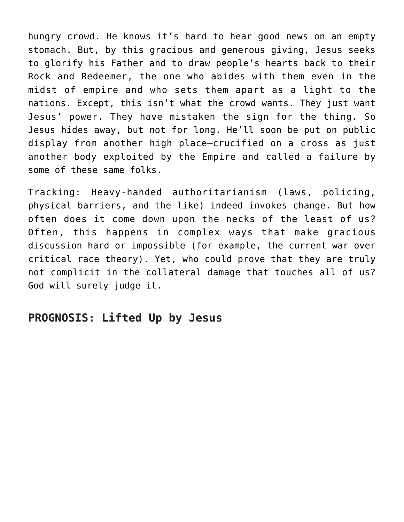hungry crowd. He knows it's hard to hear good news on an empty stomach. But, by this gracious and generous giving, Jesus seeks to glorify his Father and to draw people's hearts back to their Rock and Redeemer, the one who abides with them even in the midst of empire and who sets them apart as a light to the nations. Except, this isn't what the crowd wants. They just want Jesus' power. They have mistaken the sign for the thing. So Jesus hides away, but not for long. He'll soon be put on public display from another high place—crucified on a cross as just another body exploited by the Empire and called a failure by some of these same folks.

Tracking: Heavy-handed authoritarianism (laws, policing, physical barriers, and the like) indeed invokes change. But how often does it come down upon the necks of the least of us? Often, this happens in complex ways that make gracious discussion hard or impossible (for example, the current war over critical race theory). Yet, who could prove that they are truly not complicit in the collateral damage that touches all of us? God will surely judge it.

## **PROGNOSIS: Lifted Up by Jesus**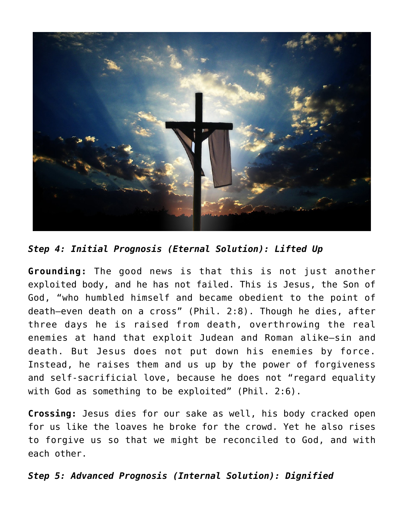

*Step 4: Initial Prognosis (Eternal Solution): Lifted Up*

**Grounding:** The good news is that this is not just another exploited body, and he has not failed. This is Jesus, the Son of God, "who humbled himself and became obedient to the point of death—even death on a cross" (Phil. 2:8). Though he dies, after three days he is raised from death, overthrowing the real enemies at hand that exploit Judean and Roman alike—sin and death. But Jesus does not put down his enemies by force. Instead, he raises them and us up by the power of forgiveness and self-sacrificial love, because he does not "regard equality with God as something to be exploited" (Phil. 2:6).

**Crossing:** Jesus dies for our sake as well, his body cracked open for us like the loaves he broke for the crowd. Yet he also rises to forgive us so that we might be reconciled to God, and with each other.

*Step 5: Advanced Prognosis (Internal Solution): Dignified*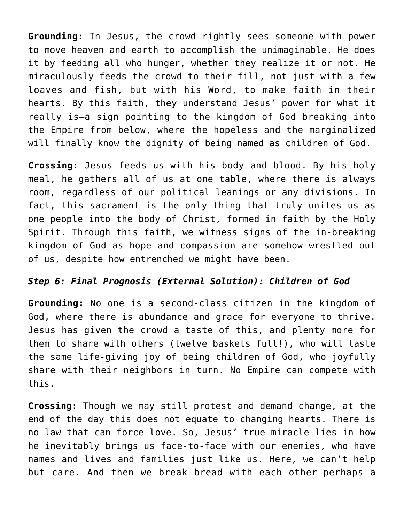**Grounding:** In Jesus, the crowd rightly sees someone with power to move heaven and earth to accomplish the unimaginable. He does it by feeding all who hunger, whether they realize it or not. He miraculously feeds the crowd to their fill, not just with a few loaves and fish, but with his Word, to make faith in their hearts. By this faith, they understand Jesus' power for what it really is—a sign pointing to the kingdom of God breaking into the Empire from below, where the hopeless and the marginalized will finally know the dignity of being named as children of God.

**Crossing:** Jesus feeds us with his body and blood. By his holy meal, he gathers all of us at one table, where there is always room, regardless of our political leanings or any divisions. In fact, this sacrament is the only thing that truly unites us as one people into the body of Christ, formed in faith by the Holy Spirit. Through this faith, we witness signs of the in-breaking kingdom of God as hope and compassion are somehow wrestled out of us, despite how entrenched we might have been.

#### *Step 6: Final Prognosis (External Solution): Children of God*

**Grounding:** No one is a second-class citizen in the kingdom of God, where there is abundance and grace for everyone to thrive. Jesus has given the crowd a taste of this, and plenty more for them to share with others (twelve baskets full!), who will taste the same life-giving joy of being children of God, who joyfully share with their neighbors in turn. No Empire can compete with this.

**Crossing:** Though we may still protest and demand change, at the end of the day this does not equate to changing hearts. There is no law that can force love. So, Jesus' true miracle lies in how he inevitably brings us face-to-face with our enemies, who have names and lives and families just like us. Here, we can't help but care. And then we break bread with each other—perhaps a